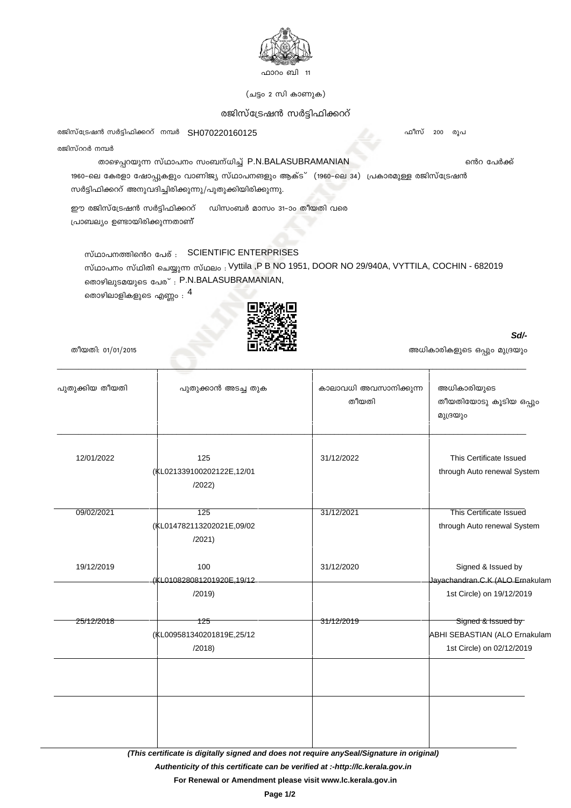

(ചട്ടം 2 സി കാണുക)

## രജിസ്ട്രേഷൻ സർട്ടിഫിക്കററ്

രജിസ്ട്രേഷൻ സർട്ടിഫിക്കററ് നമ്പർ SH070220160125

രജിസ്ററർ നമ്പർ

## താഴെപ്പറയുന്ന സ്ഥാപനം സംബന്ധിച്ച് P.N.BALASUBRAMANIAN

1960-ലെ കേരളാ ഷോപ്പുകളും വാണിജ്യ സ്ഥാപനങളും ആക്ട് (1960-ലെ 34) പ്രകാരമുള്ള രജിസ്ട്രേഷൻ സർട്ടിഫിക്കററ് അനുവദിച്ചിരിക്കുന്നു/പുതുക്കിയിരിക്കുന്നു.

ഈ രജിസ്ട്രേഷൻ സർട്ടിഫിക്കററ് ഡിസംബർ മാസം 31-ാം തീയതി വരെ പ്രാബല്യം ഉണ്ടായിരിക്കുന്നതാണ്

സ്ഥാപനത്തിൻെ പേര് : SCIENTIFIC ENTERPRISES സ്ഥാപനം സ്ഥിതി ചെയ്യുന്ന സ്ഥലം : Vyttila ,P B NO 1951, DOOR NO 29/940A, VYTTILA, COCHIN - 682019 തൊഴിലുടമയുടെ പേര്: P.N.BALASUBRAMANIAN,

തൊഴിലാളികളുടെ എണ്ണം :  $^4$ 



തീയതി: 01/01/2015

| പുതുക്കിയ തീയതി | പുതുക്കാൻ അടച്ച തുക       | കാലാവധി അവസാനിക്കുന്ന<br>തീയതി | അധികാരിയുടെ<br>തീയതിയോടു കൂടിയ ഒപ്പും<br>മുദ്രയും |
|-----------------|---------------------------|--------------------------------|---------------------------------------------------|
|                 |                           |                                |                                                   |
|                 |                           |                                |                                                   |
| 12/01/2022      | 125                       | 31/12/2022                     | This Certificate Issued                           |
|                 | (KL021339100202122E,12/01 |                                | through Auto renewal System                       |
|                 | /2022)                    |                                |                                                   |
| 09/02/2021      | 125                       | 31/12/2021                     | <b>This Certificate Issued</b>                    |
|                 | (KL014782113202021E,09/02 |                                | through Auto renewal System                       |
|                 | /2021)                    |                                |                                                   |
| 19/12/2019      | 100                       | 31/12/2020                     | Signed & Issued by                                |
|                 | (KL010828081201920E,19/12 |                                | Jayachandran.C.K (ALO Ernakulan                   |
|                 | /2019)                    |                                | 1st Circle) on 19/12/2019                         |
| 25/12/2018      | 125                       | 31/12/2019                     | Signed & Issued by                                |
|                 | (KL009581340201819E,25/12 |                                | ABHI SEBASTIAN (ALO Ernakulam                     |
|                 | /2018)                    |                                | 1st Circle) on 02/12/2019                         |
|                 |                           |                                |                                                   |
|                 |                           |                                |                                                   |
|                 |                           |                                |                                                   |
|                 |                           |                                |                                                   |
|                 |                           |                                |                                                   |

(This certificate is digitally signed and does not require any Seal/Signature in original)

Authenticity of this certificate can be verified at :- http://lc.kerala.gov.in

For Renewal or Amendment please visit www.lc.kerala.gov.in

ഫീസ് 200 രൂപ

ൻെറ പേർക്ക്

Sd/-

അധികാരികളുടെ ഒപ്പും മുദ്രയും